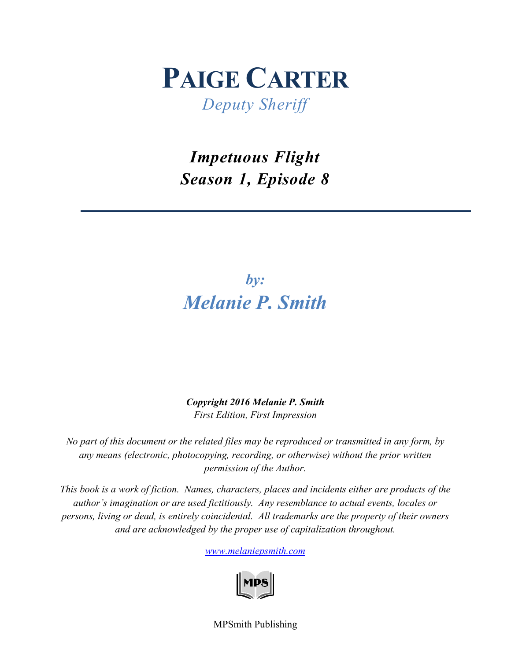

*Impetuous Flight Season 1, Episode 8*

# *by: Melanie P. Smith*

*Copyright 2016 Melanie P. Smith First Edition, First Impression*

*No part of this document or the related files may be reproduced or transmitted in any form, by any means (electronic, photocopying, recording, or otherwise) without the prior written permission of the Author.*

*This book is a work of fiction. Names, characters, places and incidents either are products of the author's imagination or are used fictitiously. Any resemblance to actual events, locales or persons, living or dead, is entirely coincidental. All trademarks are the property of their owners and are acknowledged by the proper use of capitalization throughout.*

*[www.melaniepsmith.com](http://www.melaniepsmith.com/)*



MPSmith Publishing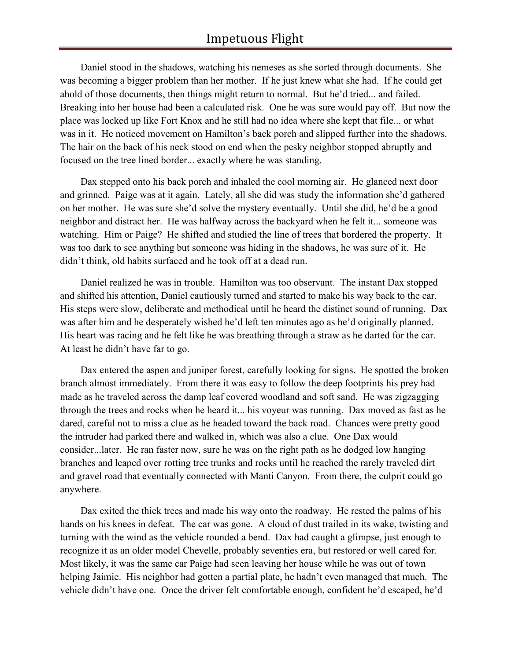Daniel stood in the shadows, watching his nemeses as she sorted through documents. She was becoming a bigger problem than her mother. If he just knew what she had. If he could get ahold of those documents, then things might return to normal. But he'd tried... and failed. Breaking into her house had been a calculated risk. One he was sure would pay off. But now the place was locked up like Fort Knox and he still had no idea where she kept that file... or what was in it. He noticed movement on Hamilton's back porch and slipped further into the shadows. The hair on the back of his neck stood on end when the pesky neighbor stopped abruptly and focused on the tree lined border... exactly where he was standing.

Dax stepped onto his back porch and inhaled the cool morning air. He glanced next door and grinned. Paige was at it again. Lately, all she did was study the information she'd gathered on her mother. He was sure she'd solve the mystery eventually. Until she did, he'd be a good neighbor and distract her. He was halfway across the backyard when he felt it... someone was watching. Him or Paige? He shifted and studied the line of trees that bordered the property. It was too dark to see anything but someone was hiding in the shadows, he was sure of it. He didn't think, old habits surfaced and he took off at a dead run.

Daniel realized he was in trouble. Hamilton was too observant. The instant Dax stopped and shifted his attention, Daniel cautiously turned and started to make his way back to the car. His steps were slow, deliberate and methodical until he heard the distinct sound of running. Dax was after him and he desperately wished he'd left ten minutes ago as he'd originally planned. His heart was racing and he felt like he was breathing through a straw as he darted for the car. At least he didn't have far to go.

Dax entered the aspen and juniper forest, carefully looking for signs. He spotted the broken branch almost immediately. From there it was easy to follow the deep footprints his prey had made as he traveled across the damp leaf covered woodland and soft sand. He was zigzagging through the trees and rocks when he heard it... his voyeur was running. Dax moved as fast as he dared, careful not to miss a clue as he headed toward the back road. Chances were pretty good the intruder had parked there and walked in, which was also a clue. One Dax would consider...later. He ran faster now, sure he was on the right path as he dodged low hanging branches and leaped over rotting tree trunks and rocks until he reached the rarely traveled dirt and gravel road that eventually connected with Manti Canyon. From there, the culprit could go anywhere.

Dax exited the thick trees and made his way onto the roadway. He rested the palms of his hands on his knees in defeat. The car was gone. A cloud of dust trailed in its wake, twisting and turning with the wind as the vehicle rounded a bend. Dax had caught a glimpse, just enough to recognize it as an older model Chevelle, probably seventies era, but restored or well cared for. Most likely, it was the same car Paige had seen leaving her house while he was out of town helping Jaimie. His neighbor had gotten a partial plate, he hadn't even managed that much. The vehicle didn't have one. Once the driver felt comfortable enough, confident he'd escaped, he'd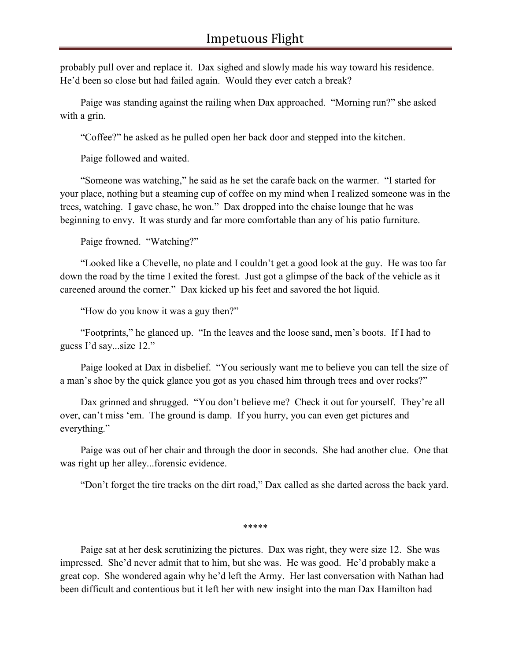probably pull over and replace it. Dax sighed and slowly made his way toward his residence. He'd been so close but had failed again. Would they ever catch a break?

Paige was standing against the railing when Dax approached. "Morning run?" she asked with a grin.

"Coffee?" he asked as he pulled open her back door and stepped into the kitchen.

Paige followed and waited.

"Someone was watching," he said as he set the carafe back on the warmer. "I started for your place, nothing but a steaming cup of coffee on my mind when I realized someone was in the trees, watching. I gave chase, he won." Dax dropped into the chaise lounge that he was beginning to envy. It was sturdy and far more comfortable than any of his patio furniture.

Paige frowned. "Watching?"

"Looked like a Chevelle, no plate and I couldn't get a good look at the guy. He was too far down the road by the time I exited the forest. Just got a glimpse of the back of the vehicle as it careened around the corner." Dax kicked up his feet and savored the hot liquid.

"How do you know it was a guy then?"

"Footprints," he glanced up. "In the leaves and the loose sand, men's boots. If I had to guess I'd say...size 12."

Paige looked at Dax in disbelief. "You seriously want me to believe you can tell the size of a man's shoe by the quick glance you got as you chased him through trees and over rocks?"

Dax grinned and shrugged. "You don't believe me? Check it out for yourself. They're all over, can't miss 'em. The ground is damp. If you hurry, you can even get pictures and everything."

Paige was out of her chair and through the door in seconds. She had another clue. One that was right up her alley...forensic evidence.

"Don't forget the tire tracks on the dirt road," Dax called as she darted across the back yard.

### \*\*\*\*\*

Paige sat at her desk scrutinizing the pictures. Dax was right, they were size 12. She was impressed. She'd never admit that to him, but she was. He was good. He'd probably make a great cop. She wondered again why he'd left the Army. Her last conversation with Nathan had been difficult and contentious but it left her with new insight into the man Dax Hamilton had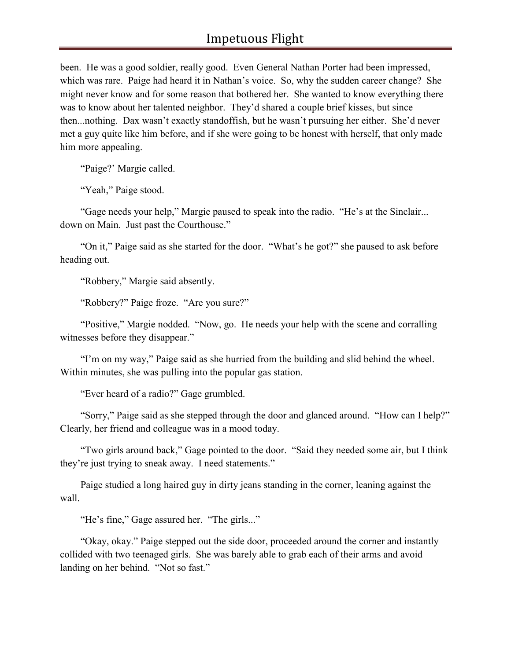been. He was a good soldier, really good. Even General Nathan Porter had been impressed, which was rare. Paige had heard it in Nathan's voice. So, why the sudden career change? She might never know and for some reason that bothered her. She wanted to know everything there was to know about her talented neighbor. They'd shared a couple brief kisses, but since then...nothing. Dax wasn't exactly standoffish, but he wasn't pursuing her either. She'd never met a guy quite like him before, and if she were going to be honest with herself, that only made him more appealing.

"Paige?' Margie called.

"Yeah," Paige stood.

"Gage needs your help," Margie paused to speak into the radio. "He's at the Sinclair... down on Main. Just past the Courthouse."

"On it," Paige said as she started for the door. "What's he got?" she paused to ask before heading out.

"Robbery," Margie said absently.

"Robbery?" Paige froze. "Are you sure?"

"Positive," Margie nodded. "Now, go. He needs your help with the scene and corralling witnesses before they disappear."

"I'm on my way," Paige said as she hurried from the building and slid behind the wheel. Within minutes, she was pulling into the popular gas station.

"Ever heard of a radio?" Gage grumbled.

"Sorry," Paige said as she stepped through the door and glanced around. "How can I help?" Clearly, her friend and colleague was in a mood today.

"Two girls around back," Gage pointed to the door. "Said they needed some air, but I think they're just trying to sneak away. I need statements."

Paige studied a long haired guy in dirty jeans standing in the corner, leaning against the wall.

"He's fine," Gage assured her. "The girls..."

"Okay, okay." Paige stepped out the side door, proceeded around the corner and instantly collided with two teenaged girls. She was barely able to grab each of their arms and avoid landing on her behind. "Not so fast."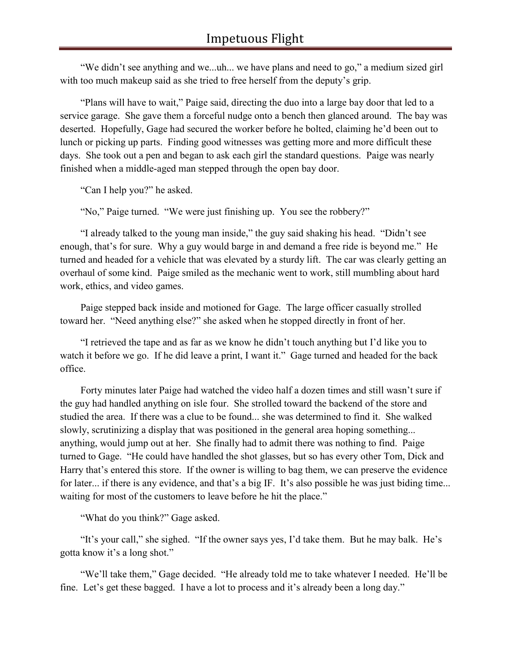"We didn't see anything and we...uh... we have plans and need to go," a medium sized girl with too much makeup said as she tried to free herself from the deputy's grip.

"Plans will have to wait," Paige said, directing the duo into a large bay door that led to a service garage. She gave them a forceful nudge onto a bench then glanced around. The bay was deserted. Hopefully, Gage had secured the worker before he bolted, claiming he'd been out to lunch or picking up parts. Finding good witnesses was getting more and more difficult these days. She took out a pen and began to ask each girl the standard questions. Paige was nearly finished when a middle-aged man stepped through the open bay door.

"Can I help you?" he asked.

"No," Paige turned. "We were just finishing up. You see the robbery?"

"I already talked to the young man inside," the guy said shaking his head. "Didn't see enough, that's for sure. Why a guy would barge in and demand a free ride is beyond me." He turned and headed for a vehicle that was elevated by a sturdy lift. The car was clearly getting an overhaul of some kind. Paige smiled as the mechanic went to work, still mumbling about hard work, ethics, and video games.

Paige stepped back inside and motioned for Gage. The large officer casually strolled toward her. "Need anything else?" she asked when he stopped directly in front of her.

"I retrieved the tape and as far as we know he didn't touch anything but I'd like you to watch it before we go. If he did leave a print, I want it." Gage turned and headed for the back office.

Forty minutes later Paige had watched the video half a dozen times and still wasn't sure if the guy had handled anything on isle four. She strolled toward the backend of the store and studied the area. If there was a clue to be found... she was determined to find it. She walked slowly, scrutinizing a display that was positioned in the general area hoping something... anything, would jump out at her. She finally had to admit there was nothing to find. Paige turned to Gage. "He could have handled the shot glasses, but so has every other Tom, Dick and Harry that's entered this store. If the owner is willing to bag them, we can preserve the evidence for later... if there is any evidence, and that's a big IF. It's also possible he was just biding time... waiting for most of the customers to leave before he hit the place."

"What do you think?" Gage asked.

"It's your call," she sighed. "If the owner says yes, I'd take them. But he may balk. He's gotta know it's a long shot."

"We'll take them," Gage decided. "He already told me to take whatever I needed. He'll be fine. Let's get these bagged. I have a lot to process and it's already been a long day."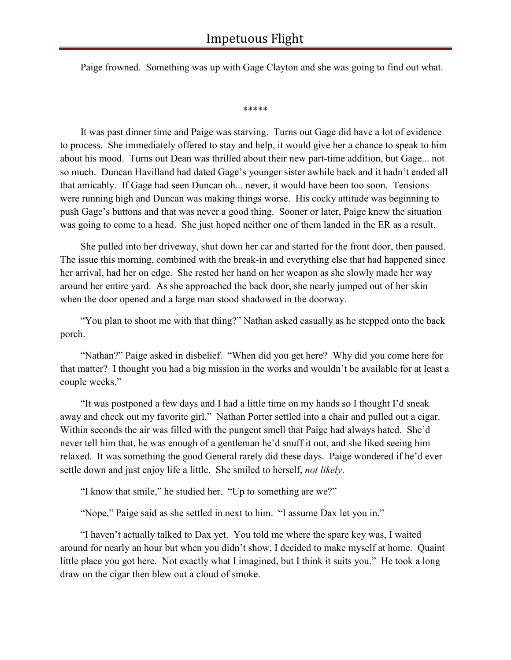Paige frowned. Something was up with Gage Clayton and she was going to find out what.

\*\*\*\*\*

It was past dinner time and Paige was starving. Turns out Gage did have a lot of evidence to process. She immediately offered to stay and help, it would give her a chance to speak to him about his mood. Turns out Dean was thrilled about their new part-time addition, but Gage... not so much. Duncan Havilland had dated Gage's younger sister awhile back and it hadn't ended all that amicably. If Gage had seen Duncan oh... never, it would have been too soon. Tensions were running high and Duncan was making things worse. His cocky attitude was beginning to push Gage's buttons and that was never a good thing. Sooner or later, Paige knew the situation was going to come to a head. She just hoped neither one of them landed in the ER as a result.

She pulled into her driveway, shut down her car and started for the front door, then paused. The issue this morning, combined with the break-in and everything else that had happened since her arrival, had her on edge. She rested her hand on her weapon as she slowly made her way around her entire yard. As she approached the back door, she nearly jumped out of her skin when the door opened and a large man stood shadowed in the doorway.

"You plan to shoot me with that thing?" Nathan asked casually as he stepped onto the back porch.

"Nathan?" Paige asked in disbelief. "When did you get here? Why did you come here for that matter? I thought you had a big mission in the works and wouldn't be available for at least a couple weeks."

"It was postponed a few days and I had a little time on my hands so I thought I'd sneak away and check out my favorite girl." Nathan Porter settled into a chair and pulled out a cigar. Within seconds the air was filled with the pungent smell that Paige had always hated. She'd never tell him that, he was enough of a gentleman he'd snuff it out, and she liked seeing him relaxed. It was something the good General rarely did these days. Paige wondered if he'd ever settle down and just enjoy life a little. She smiled to herself, *not likely*.

"I know that smile," he studied her. "Up to something are we?"

"Nope," Paige said as she settled in next to him. "I assume Dax let you in."

"I haven't actually talked to Dax yet. You told me where the spare key was, I waited around for nearly an hour but when you didn't show, I decided to make myself at home. Quaint little place you got here. Not exactly what I imagined, but I think it suits you." He took a long draw on the cigar then blew out a cloud of smoke.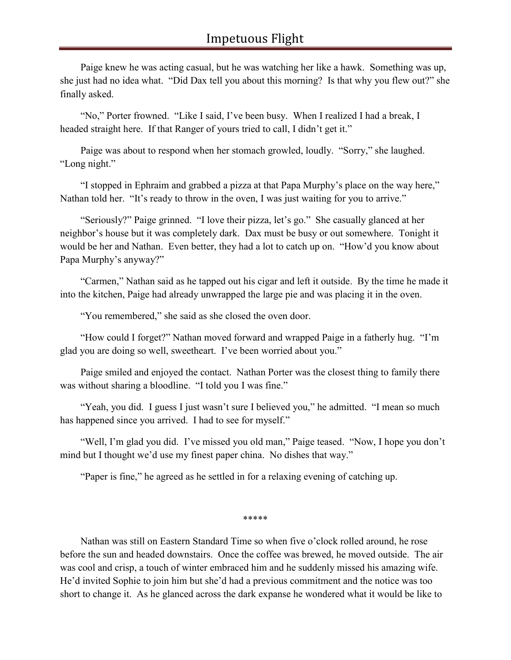Paige knew he was acting casual, but he was watching her like a hawk. Something was up, she just had no idea what. "Did Dax tell you about this morning? Is that why you flew out?" she finally asked.

"No," Porter frowned. "Like I said, I've been busy. When I realized I had a break, I headed straight here. If that Ranger of yours tried to call, I didn't get it."

Paige was about to respond when her stomach growled, loudly. "Sorry," she laughed. "Long night."

"I stopped in Ephraim and grabbed a pizza at that Papa Murphy's place on the way here," Nathan told her. "It's ready to throw in the oven, I was just waiting for you to arrive."

"Seriously?" Paige grinned. "I love their pizza, let's go." She casually glanced at her neighbor's house but it was completely dark. Dax must be busy or out somewhere. Tonight it would be her and Nathan. Even better, they had a lot to catch up on. "How'd you know about Papa Murphy's anyway?"

"Carmen," Nathan said as he tapped out his cigar and left it outside. By the time he made it into the kitchen, Paige had already unwrapped the large pie and was placing it in the oven.

"You remembered," she said as she closed the oven door.

"How could I forget?" Nathan moved forward and wrapped Paige in a fatherly hug. "I'm glad you are doing so well, sweetheart. I've been worried about you."

Paige smiled and enjoyed the contact. Nathan Porter was the closest thing to family there was without sharing a bloodline. "I told you I was fine."

"Yeah, you did. I guess I just wasn't sure I believed you," he admitted. "I mean so much has happened since you arrived. I had to see for myself."

"Well, I'm glad you did. I've missed you old man," Paige teased. "Now, I hope you don't mind but I thought we'd use my finest paper china. No dishes that way."

"Paper is fine," he agreed as he settled in for a relaxing evening of catching up.

\*\*\*\*\*

Nathan was still on Eastern Standard Time so when five o'clock rolled around, he rose before the sun and headed downstairs. Once the coffee was brewed, he moved outside. The air was cool and crisp, a touch of winter embraced him and he suddenly missed his amazing wife. He'd invited Sophie to join him but she'd had a previous commitment and the notice was too short to change it. As he glanced across the dark expanse he wondered what it would be like to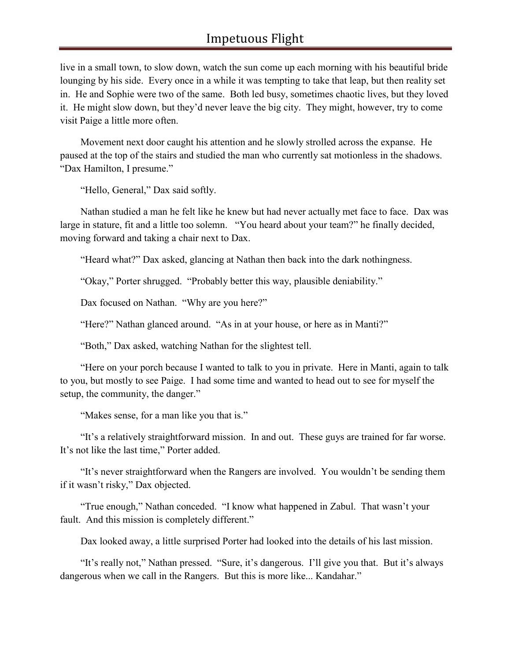live in a small town, to slow down, watch the sun come up each morning with his beautiful bride lounging by his side. Every once in a while it was tempting to take that leap, but then reality set in. He and Sophie were two of the same. Both led busy, sometimes chaotic lives, but they loved it. He might slow down, but they'd never leave the big city. They might, however, try to come visit Paige a little more often.

Movement next door caught his attention and he slowly strolled across the expanse. He paused at the top of the stairs and studied the man who currently sat motionless in the shadows. "Dax Hamilton, I presume."

"Hello, General," Dax said softly.

Nathan studied a man he felt like he knew but had never actually met face to face. Dax was large in stature, fit and a little too solemn. "You heard about your team?" he finally decided, moving forward and taking a chair next to Dax.

"Heard what?" Dax asked, glancing at Nathan then back into the dark nothingness.

"Okay," Porter shrugged. "Probably better this way, plausible deniability."

Dax focused on Nathan. "Why are you here?"

"Here?" Nathan glanced around. "As in at your house, or here as in Manti?"

"Both," Dax asked, watching Nathan for the slightest tell.

"Here on your porch because I wanted to talk to you in private. Here in Manti, again to talk to you, but mostly to see Paige. I had some time and wanted to head out to see for myself the setup, the community, the danger."

"Makes sense, for a man like you that is."

"It's a relatively straightforward mission. In and out. These guys are trained for far worse. It's not like the last time," Porter added.

"It's never straightforward when the Rangers are involved. You wouldn't be sending them if it wasn't risky," Dax objected.

"True enough," Nathan conceded. "I know what happened in Zabul. That wasn't your fault. And this mission is completely different."

Dax looked away, a little surprised Porter had looked into the details of his last mission.

"It's really not," Nathan pressed. "Sure, it's dangerous. I'll give you that. But it's always dangerous when we call in the Rangers. But this is more like... Kandahar."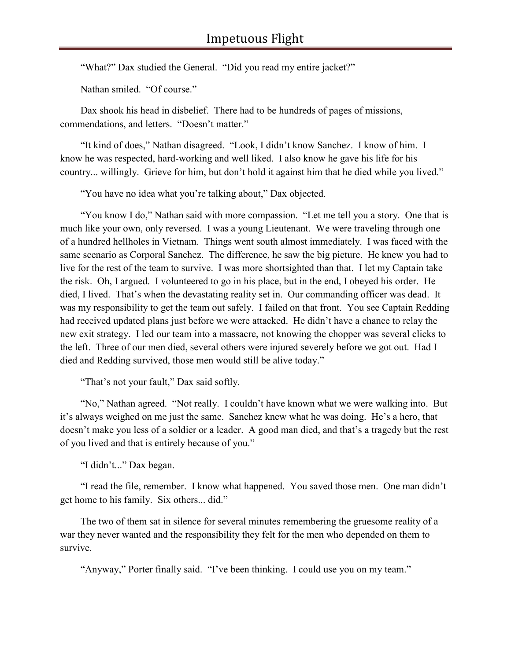"What?" Dax studied the General. "Did you read my entire jacket?"

Nathan smiled. "Of course."

Dax shook his head in disbelief. There had to be hundreds of pages of missions, commendations, and letters. "Doesn't matter."

"It kind of does," Nathan disagreed. "Look, I didn't know Sanchez. I know of him. I know he was respected, hard-working and well liked. I also know he gave his life for his country... willingly. Grieve for him, but don't hold it against him that he died while you lived."

"You have no idea what you're talking about," Dax objected.

"You know I do," Nathan said with more compassion. "Let me tell you a story. One that is much like your own, only reversed. I was a young Lieutenant. We were traveling through one of a hundred hellholes in Vietnam. Things went south almost immediately. I was faced with the same scenario as Corporal Sanchez. The difference, he saw the big picture. He knew you had to live for the rest of the team to survive. I was more shortsighted than that. I let my Captain take the risk. Oh, I argued. I volunteered to go in his place, but in the end, I obeyed his order. He died, I lived. That's when the devastating reality set in. Our commanding officer was dead. It was my responsibility to get the team out safely. I failed on that front. You see Captain Redding had received updated plans just before we were attacked. He didn't have a chance to relay the new exit strategy. I led our team into a massacre, not knowing the chopper was several clicks to the left. Three of our men died, several others were injured severely before we got out. Had I died and Redding survived, those men would still be alive today."

"That's not your fault," Dax said softly.

"No," Nathan agreed. "Not really. I couldn't have known what we were walking into. But it's always weighed on me just the same. Sanchez knew what he was doing. He's a hero, that doesn't make you less of a soldier or a leader. A good man died, and that's a tragedy but the rest of you lived and that is entirely because of you."

"I didn't..." Dax began.

"I read the file, remember. I know what happened. You saved those men. One man didn't get home to his family. Six others... did."

The two of them sat in silence for several minutes remembering the gruesome reality of a war they never wanted and the responsibility they felt for the men who depended on them to survive.

"Anyway," Porter finally said. "I've been thinking. I could use you on my team."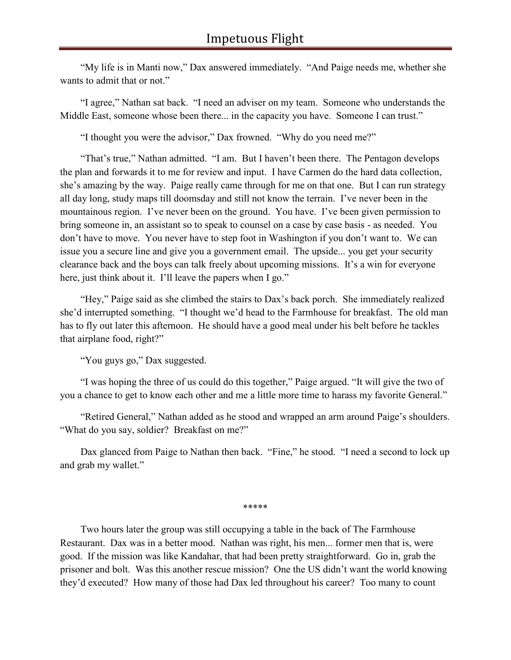"My life is in Manti now," Dax answered immediately. "And Paige needs me, whether she wants to admit that or not."

"I agree," Nathan sat back. "I need an adviser on my team. Someone who understands the Middle East, someone whose been there... in the capacity you have. Someone I can trust."

"I thought you were the advisor," Dax frowned. "Why do you need me?"

"That's true," Nathan admitted. "I am. But I haven't been there. The Pentagon develops the plan and forwards it to me for review and input. I have Carmen do the hard data collection, she's amazing by the way. Paige really came through for me on that one. But I can run strategy all day long, study maps till doomsday and still not know the terrain. I've never been in the mountainous region. I've never been on the ground. You have. I've been given permission to bring someone in, an assistant so to speak to counsel on a case by case basis - as needed. You don't have to move. You never have to step foot in Washington if you don't want to. We can issue you a secure line and give you a government email. The upside... you get your security clearance back and the boys can talk freely about upcoming missions. It's a win for everyone here, just think about it. I'll leave the papers when I go."

"Hey," Paige said as she climbed the stairs to Dax's back porch. She immediately realized she'd interrupted something. "I thought we'd head to the Farmhouse for breakfast. The old man has to fly out later this afternoon. He should have a good meal under his belt before he tackles that airplane food, right?"

"You guys go," Dax suggested.

"I was hoping the three of us could do this together," Paige argued. "It will give the two of you a chance to get to know each other and me a little more time to harass my favorite General."

"Retired General," Nathan added as he stood and wrapped an arm around Paige's shoulders. "What do you say, soldier? Breakfast on me?"

Dax glanced from Paige to Nathan then back. "Fine," he stood. "I need a second to lock up and grab my wallet."

\*\*\*\*\*

Two hours later the group was still occupying a table in the back of The Farmhouse Restaurant. Dax was in a better mood. Nathan was right, his men... former men that is, were good. If the mission was like Kandahar, that had been pretty straightforward. Go in, grab the prisoner and bolt. Was this another rescue mission? One the US didn't want the world knowing they'd executed? How many of those had Dax led throughout his career? Too many to count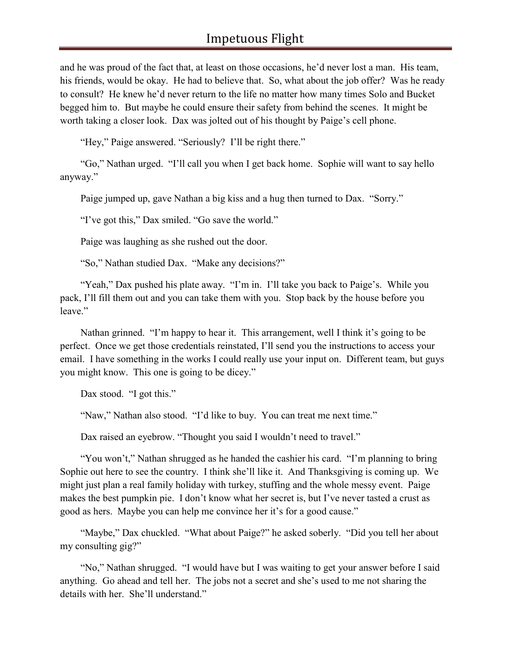and he was proud of the fact that, at least on those occasions, he'd never lost a man. His team, his friends, would be okay. He had to believe that. So, what about the job offer? Was he ready to consult? He knew he'd never return to the life no matter how many times Solo and Bucket begged him to. But maybe he could ensure their safety from behind the scenes. It might be worth taking a closer look. Dax was jolted out of his thought by Paige's cell phone.

"Hey," Paige answered. "Seriously? I'll be right there."

"Go," Nathan urged. "I'll call you when I get back home. Sophie will want to say hello anyway."

Paige jumped up, gave Nathan a big kiss and a hug then turned to Dax. "Sorry."

"I've got this," Dax smiled. "Go save the world."

Paige was laughing as she rushed out the door.

"So," Nathan studied Dax. "Make any decisions?"

"Yeah," Dax pushed his plate away. "I'm in. I'll take you back to Paige's. While you pack, I'll fill them out and you can take them with you. Stop back by the house before you leave."

Nathan grinned. "I'm happy to hear it. This arrangement, well I think it's going to be perfect. Once we get those credentials reinstated, I'll send you the instructions to access your email. I have something in the works I could really use your input on. Different team, but guys you might know. This one is going to be dicey."

Dax stood. "I got this."

"Naw," Nathan also stood. "I'd like to buy. You can treat me next time."

Dax raised an eyebrow. "Thought you said I wouldn't need to travel."

"You won't," Nathan shrugged as he handed the cashier his card. "I'm planning to bring Sophie out here to see the country. I think she'll like it. And Thanksgiving is coming up. We might just plan a real family holiday with turkey, stuffing and the whole messy event. Paige makes the best pumpkin pie. I don't know what her secret is, but I've never tasted a crust as good as hers. Maybe you can help me convince her it's for a good cause."

"Maybe," Dax chuckled. "What about Paige?" he asked soberly. "Did you tell her about my consulting gig?"

"No," Nathan shrugged. "I would have but I was waiting to get your answer before I said anything. Go ahead and tell her. The jobs not a secret and she's used to me not sharing the details with her. She'll understand."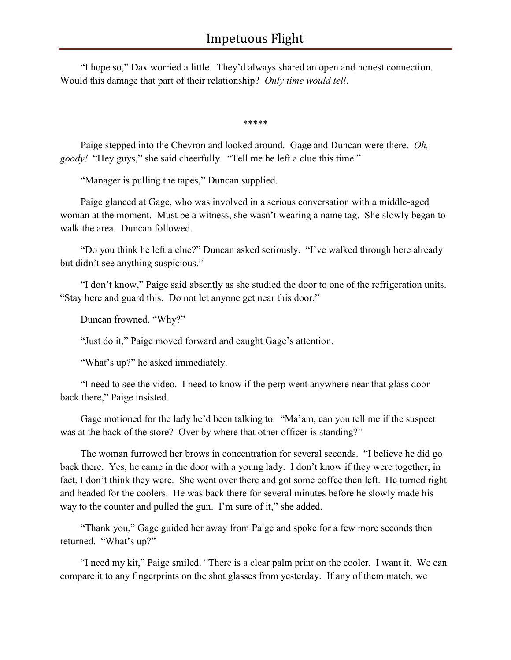"I hope so," Dax worried a little. They'd always shared an open and honest connection. Would this damage that part of their relationship? *Only time would tell*.

\*\*\*\*\*

Paige stepped into the Chevron and looked around. Gage and Duncan were there. *Oh, goody!* "Hey guys," she said cheerfully. "Tell me he left a clue this time."

"Manager is pulling the tapes," Duncan supplied.

Paige glanced at Gage, who was involved in a serious conversation with a middle-aged woman at the moment. Must be a witness, she wasn't wearing a name tag. She slowly began to walk the area. Duncan followed.

"Do you think he left a clue?" Duncan asked seriously. "I've walked through here already but didn't see anything suspicious."

"I don't know," Paige said absently as she studied the door to one of the refrigeration units. "Stay here and guard this. Do not let anyone get near this door."

Duncan frowned. "Why?"

"Just do it," Paige moved forward and caught Gage's attention.

"What's up?" he asked immediately.

"I need to see the video. I need to know if the perp went anywhere near that glass door back there," Paige insisted.

Gage motioned for the lady he'd been talking to. "Ma'am, can you tell me if the suspect was at the back of the store? Over by where that other officer is standing?"

The woman furrowed her brows in concentration for several seconds. "I believe he did go back there. Yes, he came in the door with a young lady. I don't know if they were together, in fact, I don't think they were. She went over there and got some coffee then left. He turned right and headed for the coolers. He was back there for several minutes before he slowly made his way to the counter and pulled the gun. I'm sure of it," she added.

"Thank you," Gage guided her away from Paige and spoke for a few more seconds then returned. "What's up?"

"I need my kit," Paige smiled. "There is a clear palm print on the cooler. I want it. We can compare it to any fingerprints on the shot glasses from yesterday. If any of them match, we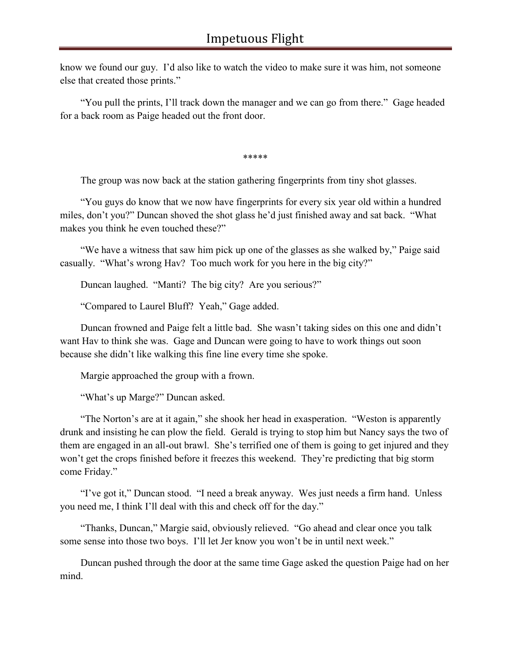know we found our guy. I'd also like to watch the video to make sure it was him, not someone else that created those prints."

"You pull the prints, I'll track down the manager and we can go from there." Gage headed for a back room as Paige headed out the front door.

\*\*\*\*\*

The group was now back at the station gathering fingerprints from tiny shot glasses.

"You guys do know that we now have fingerprints for every six year old within a hundred miles, don't you?" Duncan shoved the shot glass he'd just finished away and sat back. "What makes you think he even touched these?"

"We have a witness that saw him pick up one of the glasses as she walked by," Paige said casually. "What's wrong Hav? Too much work for you here in the big city?"

Duncan laughed. "Manti? The big city? Are you serious?"

"Compared to Laurel Bluff? Yeah," Gage added.

Duncan frowned and Paige felt a little bad. She wasn't taking sides on this one and didn't want Hav to think she was. Gage and Duncan were going to have to work things out soon because she didn't like walking this fine line every time she spoke.

Margie approached the group with a frown.

"What's up Marge?" Duncan asked.

"The Norton's are at it again," she shook her head in exasperation. "Weston is apparently drunk and insisting he can plow the field. Gerald is trying to stop him but Nancy says the two of them are engaged in an all-out brawl. She's terrified one of them is going to get injured and they won't get the crops finished before it freezes this weekend. They're predicting that big storm come Friday."

"I've got it," Duncan stood. "I need a break anyway. Wes just needs a firm hand. Unless you need me, I think I'll deal with this and check off for the day."

"Thanks, Duncan," Margie said, obviously relieved. "Go ahead and clear once you talk some sense into those two boys. I'll let Jer know you won't be in until next week."

Duncan pushed through the door at the same time Gage asked the question Paige had on her mind.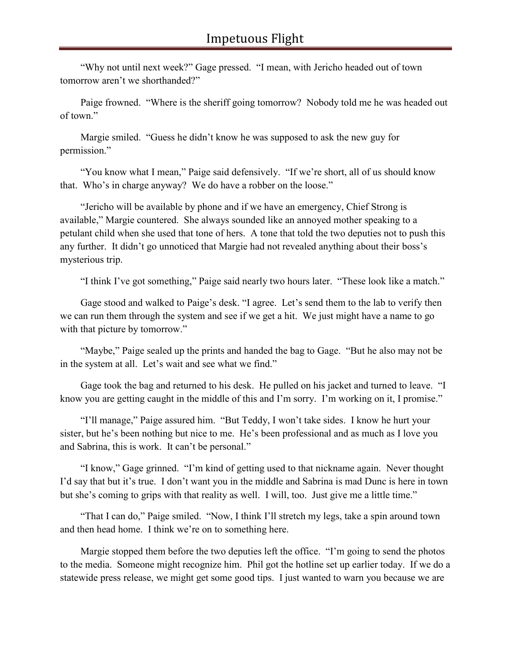"Why not until next week?" Gage pressed. "I mean, with Jericho headed out of town tomorrow aren't we shorthanded?"

Paige frowned. "Where is the sheriff going tomorrow? Nobody told me he was headed out of town."

Margie smiled. "Guess he didn't know he was supposed to ask the new guy for permission."

"You know what I mean," Paige said defensively. "If we're short, all of us should know that. Who's in charge anyway? We do have a robber on the loose."

"Jericho will be available by phone and if we have an emergency, Chief Strong is available," Margie countered. She always sounded like an annoyed mother speaking to a petulant child when she used that tone of hers. A tone that told the two deputies not to push this any further. It didn't go unnoticed that Margie had not revealed anything about their boss's mysterious trip.

"I think I've got something," Paige said nearly two hours later. "These look like a match."

Gage stood and walked to Paige's desk. "I agree. Let's send them to the lab to verify then we can run them through the system and see if we get a hit. We just might have a name to go with that picture by tomorrow."

"Maybe," Paige sealed up the prints and handed the bag to Gage. "But he also may not be in the system at all. Let's wait and see what we find."

Gage took the bag and returned to his desk. He pulled on his jacket and turned to leave. "I know you are getting caught in the middle of this and I'm sorry. I'm working on it, I promise."

"I'll manage," Paige assured him. "But Teddy, I won't take sides. I know he hurt your sister, but he's been nothing but nice to me. He's been professional and as much as I love you and Sabrina, this is work. It can't be personal."

"I know," Gage grinned. "I'm kind of getting used to that nickname again. Never thought I'd say that but it's true. I don't want you in the middle and Sabrina is mad Dunc is here in town but she's coming to grips with that reality as well. I will, too. Just give me a little time."

"That I can do," Paige smiled. "Now, I think I'll stretch my legs, take a spin around town and then head home. I think we're on to something here.

Margie stopped them before the two deputies left the office. "I'm going to send the photos to the media. Someone might recognize him. Phil got the hotline set up earlier today. If we do a statewide press release, we might get some good tips. I just wanted to warn you because we are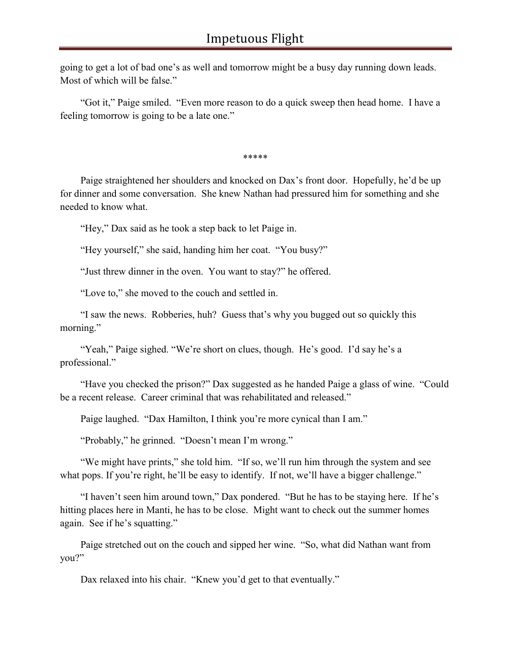going to get a lot of bad one's as well and tomorrow might be a busy day running down leads. Most of which will be false."

"Got it," Paige smiled. "Even more reason to do a quick sweep then head home. I have a feeling tomorrow is going to be a late one."

\*\*\*\*\*

Paige straightened her shoulders and knocked on Dax's front door. Hopefully, he'd be up for dinner and some conversation. She knew Nathan had pressured him for something and she needed to know what.

"Hey," Dax said as he took a step back to let Paige in.

"Hey yourself," she said, handing him her coat. "You busy?"

"Just threw dinner in the oven. You want to stay?" he offered.

"Love to," she moved to the couch and settled in.

"I saw the news. Robberies, huh? Guess that's why you bugged out so quickly this morning."

"Yeah," Paige sighed. "We're short on clues, though. He's good. I'd say he's a professional."

"Have you checked the prison?" Dax suggested as he handed Paige a glass of wine. "Could be a recent release. Career criminal that was rehabilitated and released."

Paige laughed. "Dax Hamilton, I think you're more cynical than I am."

"Probably," he grinned. "Doesn't mean I'm wrong."

"We might have prints," she told him. "If so, we'll run him through the system and see what pops. If you're right, he'll be easy to identify. If not, we'll have a bigger challenge."

"I haven't seen him around town," Dax pondered. "But he has to be staying here. If he's hitting places here in Manti, he has to be close. Might want to check out the summer homes again. See if he's squatting."

Paige stretched out on the couch and sipped her wine. "So, what did Nathan want from you?"

Dax relaxed into his chair. "Knew you'd get to that eventually."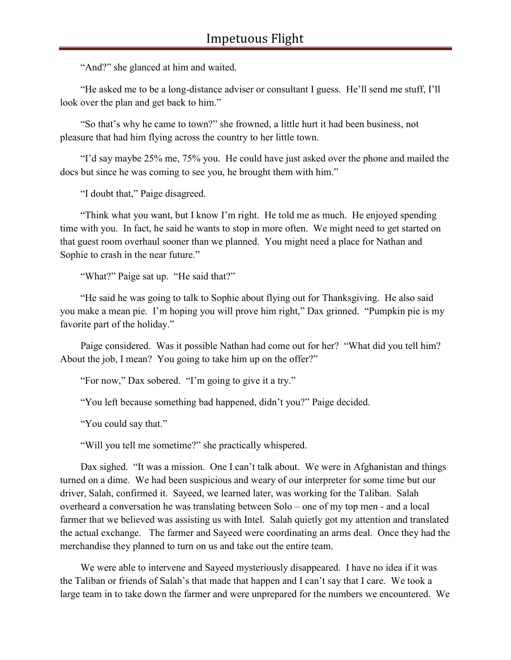"And?" she glanced at him and waited.

"He asked me to be a long-distance adviser or consultant I guess. He'll send me stuff, I'll look over the plan and get back to him."

"So that's why he came to town?" she frowned, a little hurt it had been business, not pleasure that had him flying across the country to her little town.

"I'd say maybe 25% me, 75% you. He could have just asked over the phone and mailed the docs but since he was coming to see you, he brought them with him."

"I doubt that," Paige disagreed.

"Think what you want, but I know I'm right. He told me as much. He enjoyed spending time with you. In fact, he said he wants to stop in more often. We might need to get started on that guest room overhaul sooner than we planned. You might need a place for Nathan and Sophie to crash in the near future."

"What?" Paige sat up. "He said that?"

"He said he was going to talk to Sophie about flying out for Thanksgiving. He also said you make a mean pie. I'm hoping you will prove him right," Dax grinned. "Pumpkin pie is my favorite part of the holiday."

Paige considered. Was it possible Nathan had come out for her? "What did you tell him? About the job, I mean? You going to take him up on the offer?"

"For now," Dax sobered. "I'm going to give it a try."

"You left because something bad happened, didn't you?" Paige decided.

"You could say that."

"Will you tell me sometime?" she practically whispered.

Dax sighed. "It was a mission. One I can't talk about. We were in Afghanistan and things turned on a dime. We had been suspicious and weary of our interpreter for some time but our driver, Salah, confirmed it. Sayeed, we learned later, was working for the Taliban. Salah overheard a conversation he was translating between Solo – one of my top men - and a local farmer that we believed was assisting us with Intel. Salah quietly got my attention and translated the actual exchange. The farmer and Sayeed were coordinating an arms deal. Once they had the merchandise they planned to turn on us and take out the entire team.

We were able to intervene and Sayeed mysteriously disappeared. I have no idea if it was the Taliban or friends of Salah's that made that happen and I can't say that I care. We took a large team in to take down the farmer and were unprepared for the numbers we encountered. We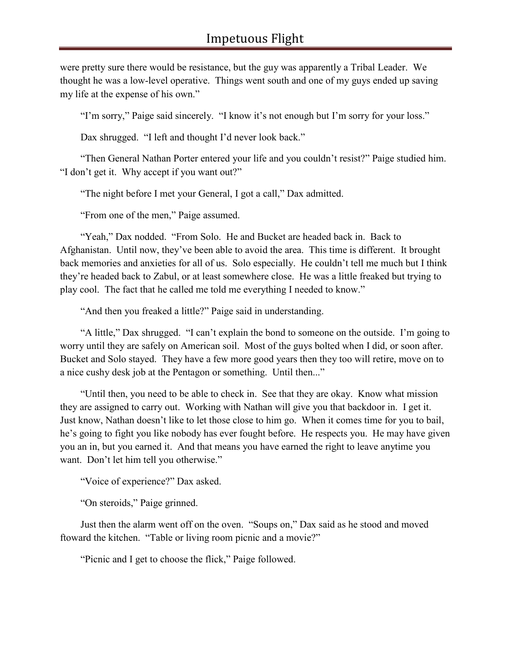were pretty sure there would be resistance, but the guy was apparently a Tribal Leader. We thought he was a low-level operative. Things went south and one of my guys ended up saving my life at the expense of his own."

"I'm sorry," Paige said sincerely. "I know it's not enough but I'm sorry for your loss."

Dax shrugged. "I left and thought I'd never look back."

"Then General Nathan Porter entered your life and you couldn't resist?" Paige studied him. "I don't get it. Why accept if you want out?"

"The night before I met your General, I got a call," Dax admitted.

"From one of the men," Paige assumed.

"Yeah," Dax nodded. "From Solo. He and Bucket are headed back in. Back to Afghanistan. Until now, they've been able to avoid the area. This time is different. It brought back memories and anxieties for all of us. Solo especially. He couldn't tell me much but I think they're headed back to Zabul, or at least somewhere close. He was a little freaked but trying to play cool. The fact that he called me told me everything I needed to know."

"And then you freaked a little?" Paige said in understanding.

"A little," Dax shrugged. "I can't explain the bond to someone on the outside. I'm going to worry until they are safely on American soil. Most of the guys bolted when I did, or soon after. Bucket and Solo stayed. They have a few more good years then they too will retire, move on to a nice cushy desk job at the Pentagon or something. Until then..."

"Until then, you need to be able to check in. See that they are okay. Know what mission they are assigned to carry out. Working with Nathan will give you that backdoor in. I get it. Just know, Nathan doesn't like to let those close to him go. When it comes time for you to bail, he's going to fight you like nobody has ever fought before. He respects you. He may have given you an in, but you earned it. And that means you have earned the right to leave anytime you want. Don't let him tell you otherwise."

"Voice of experience?" Dax asked.

"On steroids," Paige grinned.

Just then the alarm went off on the oven. "Soups on," Dax said as he stood and moved ftoward the kitchen. "Table or living room picnic and a movie?"

"Picnic and I get to choose the flick," Paige followed.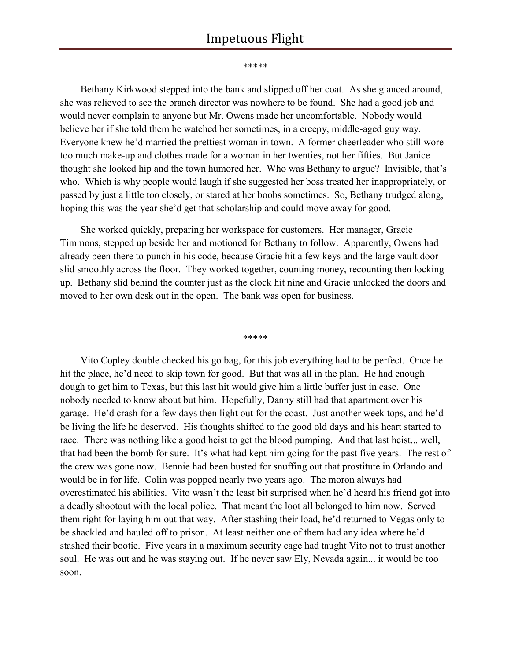#### \*\*\*\*\*

Bethany Kirkwood stepped into the bank and slipped off her coat. As she glanced around, she was relieved to see the branch director was nowhere to be found. She had a good job and would never complain to anyone but Mr. Owens made her uncomfortable. Nobody would believe her if she told them he watched her sometimes, in a creepy, middle-aged guy way. Everyone knew he'd married the prettiest woman in town. A former cheerleader who still wore too much make-up and clothes made for a woman in her twenties, not her fifties. But Janice thought she looked hip and the town humored her. Who was Bethany to argue? Invisible, that's who. Which is why people would laugh if she suggested her boss treated her inappropriately, or passed by just a little too closely, or stared at her boobs sometimes. So, Bethany trudged along, hoping this was the year she'd get that scholarship and could move away for good.

She worked quickly, preparing her workspace for customers. Her manager, Gracie Timmons, stepped up beside her and motioned for Bethany to follow. Apparently, Owens had already been there to punch in his code, because Gracie hit a few keys and the large vault door slid smoothly across the floor. They worked together, counting money, recounting then locking up. Bethany slid behind the counter just as the clock hit nine and Gracie unlocked the doors and moved to her own desk out in the open. The bank was open for business.

\*\*\*\*\*

Vito Copley double checked his go bag, for this job everything had to be perfect. Once he hit the place, he'd need to skip town for good. But that was all in the plan. He had enough dough to get him to Texas, but this last hit would give him a little buffer just in case. One nobody needed to know about but him. Hopefully, Danny still had that apartment over his garage. He'd crash for a few days then light out for the coast. Just another week tops, and he'd be living the life he deserved. His thoughts shifted to the good old days and his heart started to race. There was nothing like a good heist to get the blood pumping. And that last heist... well, that had been the bomb for sure. It's what had kept him going for the past five years. The rest of the crew was gone now. Bennie had been busted for snuffing out that prostitute in Orlando and would be in for life. Colin was popped nearly two years ago. The moron always had overestimated his abilities. Vito wasn't the least bit surprised when he'd heard his friend got into a deadly shootout with the local police. That meant the loot all belonged to him now. Served them right for laying him out that way. After stashing their load, he'd returned to Vegas only to be shackled and hauled off to prison. At least neither one of them had any idea where he'd stashed their bootie. Five years in a maximum security cage had taught Vito not to trust another soul. He was out and he was staying out. If he never saw Ely, Nevada again... it would be too soon.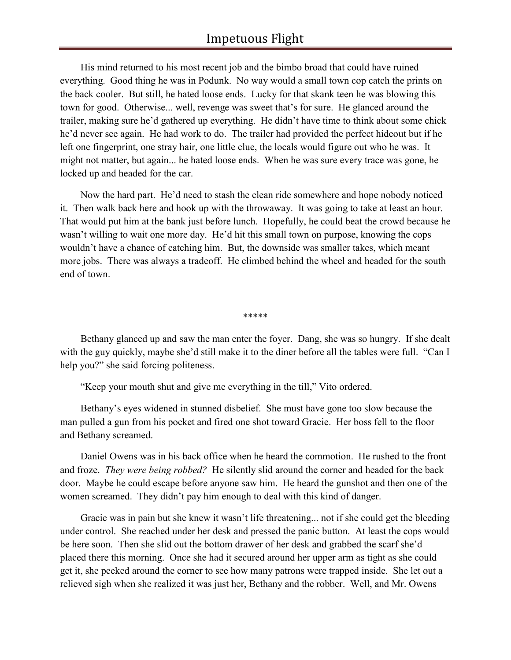His mind returned to his most recent job and the bimbo broad that could have ruined everything. Good thing he was in Podunk. No way would a small town cop catch the prints on the back cooler. But still, he hated loose ends. Lucky for that skank teen he was blowing this town for good. Otherwise... well, revenge was sweet that's for sure. He glanced around the trailer, making sure he'd gathered up everything. He didn't have time to think about some chick he'd never see again. He had work to do. The trailer had provided the perfect hideout but if he left one fingerprint, one stray hair, one little clue, the locals would figure out who he was. It might not matter, but again... he hated loose ends. When he was sure every trace was gone, he locked up and headed for the car.

Now the hard part. He'd need to stash the clean ride somewhere and hope nobody noticed it. Then walk back here and hook up with the throwaway. It was going to take at least an hour. That would put him at the bank just before lunch. Hopefully, he could beat the crowd because he wasn't willing to wait one more day. He'd hit this small town on purpose, knowing the cops wouldn't have a chance of catching him. But, the downside was smaller takes, which meant more jobs. There was always a tradeoff. He climbed behind the wheel and headed for the south end of town.

\*\*\*\*\*

Bethany glanced up and saw the man enter the foyer. Dang, she was so hungry. If she dealt with the guy quickly, maybe she'd still make it to the diner before all the tables were full. "Can I help you?" she said forcing politeness.

"Keep your mouth shut and give me everything in the till," Vito ordered.

Bethany's eyes widened in stunned disbelief. She must have gone too slow because the man pulled a gun from his pocket and fired one shot toward Gracie. Her boss fell to the floor and Bethany screamed.

Daniel Owens was in his back office when he heard the commotion. He rushed to the front and froze. *They were being robbed?* He silently slid around the corner and headed for the back door. Maybe he could escape before anyone saw him. He heard the gunshot and then one of the women screamed. They didn't pay him enough to deal with this kind of danger.

Gracie was in pain but she knew it wasn't life threatening... not if she could get the bleeding under control. She reached under her desk and pressed the panic button. At least the cops would be here soon. Then she slid out the bottom drawer of her desk and grabbed the scarf she'd placed there this morning. Once she had it secured around her upper arm as tight as she could get it, she peeked around the corner to see how many patrons were trapped inside. She let out a relieved sigh when she realized it was just her, Bethany and the robber. Well, and Mr. Owens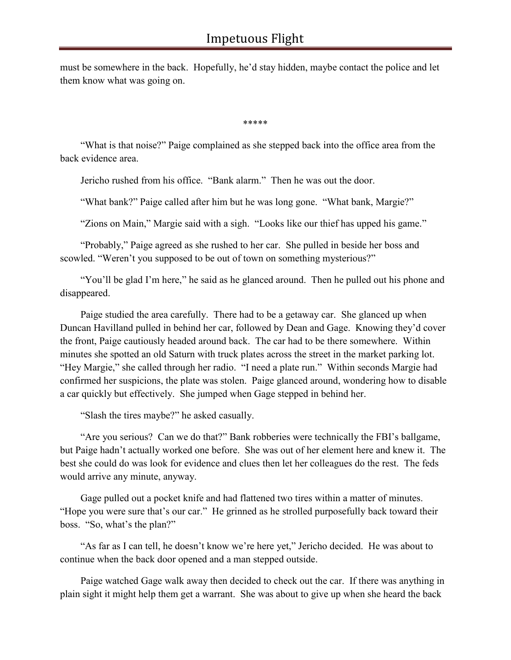must be somewhere in the back. Hopefully, he'd stay hidden, maybe contact the police and let them know what was going on.

\*\*\*\*\*

"What is that noise?" Paige complained as she stepped back into the office area from the back evidence area.

Jericho rushed from his office. "Bank alarm." Then he was out the door.

"What bank?" Paige called after him but he was long gone. "What bank, Margie?"

"Zions on Main," Margie said with a sigh. "Looks like our thief has upped his game."

"Probably," Paige agreed as she rushed to her car. She pulled in beside her boss and scowled. "Weren't you supposed to be out of town on something mysterious?"

"You'll be glad I'm here," he said as he glanced around. Then he pulled out his phone and disappeared.

Paige studied the area carefully. There had to be a getaway car. She glanced up when Duncan Havilland pulled in behind her car, followed by Dean and Gage. Knowing they'd cover the front, Paige cautiously headed around back. The car had to be there somewhere. Within minutes she spotted an old Saturn with truck plates across the street in the market parking lot. "Hey Margie," she called through her radio. "I need a plate run." Within seconds Margie had confirmed her suspicions, the plate was stolen. Paige glanced around, wondering how to disable a car quickly but effectively. She jumped when Gage stepped in behind her.

"Slash the tires maybe?" he asked casually.

"Are you serious? Can we do that?" Bank robberies were technically the FBI's ballgame, but Paige hadn't actually worked one before. She was out of her element here and knew it. The best she could do was look for evidence and clues then let her colleagues do the rest. The feds would arrive any minute, anyway.

Gage pulled out a pocket knife and had flattened two tires within a matter of minutes. "Hope you were sure that's our car." He grinned as he strolled purposefully back toward their boss. "So, what's the plan?"

"As far as I can tell, he doesn't know we're here yet," Jericho decided. He was about to continue when the back door opened and a man stepped outside.

Paige watched Gage walk away then decided to check out the car. If there was anything in plain sight it might help them get a warrant. She was about to give up when she heard the back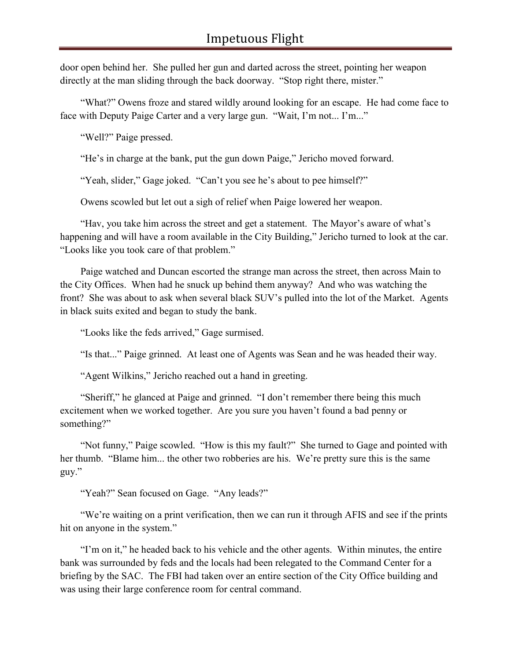door open behind her. She pulled her gun and darted across the street, pointing her weapon directly at the man sliding through the back doorway. "Stop right there, mister."

"What?" Owens froze and stared wildly around looking for an escape. He had come face to face with Deputy Paige Carter and a very large gun. "Wait, I'm not... I'm..."

"Well?" Paige pressed.

"He's in charge at the bank, put the gun down Paige," Jericho moved forward.

"Yeah, slider," Gage joked. "Can't you see he's about to pee himself?"

Owens scowled but let out a sigh of relief when Paige lowered her weapon.

"Hav, you take him across the street and get a statement. The Mayor's aware of what's happening and will have a room available in the City Building," Jericho turned to look at the car. "Looks like you took care of that problem."

Paige watched and Duncan escorted the strange man across the street, then across Main to the City Offices. When had he snuck up behind them anyway? And who was watching the front? She was about to ask when several black SUV's pulled into the lot of the Market. Agents in black suits exited and began to study the bank.

"Looks like the feds arrived," Gage surmised.

"Is that..." Paige grinned. At least one of Agents was Sean and he was headed their way.

"Agent Wilkins," Jericho reached out a hand in greeting.

"Sheriff," he glanced at Paige and grinned. "I don't remember there being this much excitement when we worked together. Are you sure you haven't found a bad penny or something?"

"Not funny," Paige scowled. "How is this my fault?" She turned to Gage and pointed with her thumb. "Blame him... the other two robberies are his. We're pretty sure this is the same guy."

"Yeah?" Sean focused on Gage. "Any leads?"

"We're waiting on a print verification, then we can run it through AFIS and see if the prints hit on anyone in the system."

"I'm on it," he headed back to his vehicle and the other agents. Within minutes, the entire bank was surrounded by feds and the locals had been relegated to the Command Center for a briefing by the SAC. The FBI had taken over an entire section of the City Office building and was using their large conference room for central command.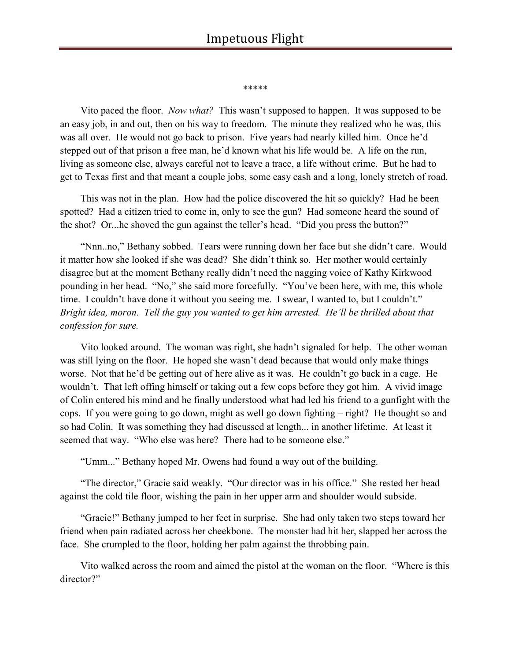\*\*\*\*\*

Vito paced the floor. *Now what?* This wasn't supposed to happen. It was supposed to be an easy job, in and out, then on his way to freedom. The minute they realized who he was, this was all over. He would not go back to prison. Five years had nearly killed him. Once he'd stepped out of that prison a free man, he'd known what his life would be. A life on the run, living as someone else, always careful not to leave a trace, a life without crime. But he had to get to Texas first and that meant a couple jobs, some easy cash and a long, lonely stretch of road.

This was not in the plan. How had the police discovered the hit so quickly? Had he been spotted? Had a citizen tried to come in, only to see the gun? Had someone heard the sound of the shot? Or...he shoved the gun against the teller's head. "Did you press the button?"

"Nnn..no," Bethany sobbed. Tears were running down her face but she didn't care. Would it matter how she looked if she was dead? She didn't think so. Her mother would certainly disagree but at the moment Bethany really didn't need the nagging voice of Kathy Kirkwood pounding in her head. "No," she said more forcefully. "You've been here, with me, this whole time. I couldn't have done it without you seeing me. I swear, I wanted to, but I couldn't." *Bright idea, moron. Tell the guy you wanted to get him arrested. He'll be thrilled about that confession for sure.*

Vito looked around. The woman was right, she hadn't signaled for help. The other woman was still lying on the floor. He hoped she wasn't dead because that would only make things worse. Not that he'd be getting out of here alive as it was. He couldn't go back in a cage. He wouldn't. That left offing himself or taking out a few cops before they got him. A vivid image of Colin entered his mind and he finally understood what had led his friend to a gunfight with the cops. If you were going to go down, might as well go down fighting – right? He thought so and so had Colin. It was something they had discussed at length... in another lifetime. At least it seemed that way. "Who else was here? There had to be someone else."

"Umm..." Bethany hoped Mr. Owens had found a way out of the building.

"The director," Gracie said weakly. "Our director was in his office." She rested her head against the cold tile floor, wishing the pain in her upper arm and shoulder would subside.

"Gracie!" Bethany jumped to her feet in surprise. She had only taken two steps toward her friend when pain radiated across her cheekbone. The monster had hit her, slapped her across the face. She crumpled to the floor, holding her palm against the throbbing pain.

Vito walked across the room and aimed the pistol at the woman on the floor. "Where is this director?"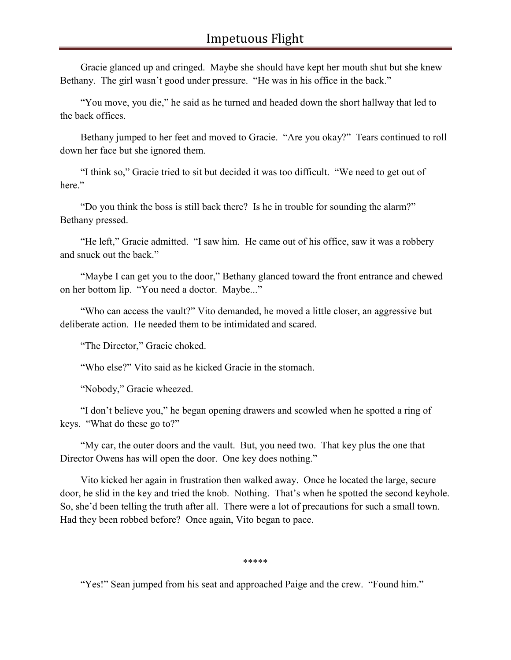Gracie glanced up and cringed. Maybe she should have kept her mouth shut but she knew Bethany. The girl wasn't good under pressure. "He was in his office in the back."

"You move, you die," he said as he turned and headed down the short hallway that led to the back offices.

Bethany jumped to her feet and moved to Gracie. "Are you okay?" Tears continued to roll down her face but she ignored them.

"I think so," Gracie tried to sit but decided it was too difficult. "We need to get out of here."

"Do you think the boss is still back there? Is he in trouble for sounding the alarm?" Bethany pressed.

"He left," Gracie admitted. "I saw him. He came out of his office, saw it was a robbery and snuck out the back."

"Maybe I can get you to the door," Bethany glanced toward the front entrance and chewed on her bottom lip. "You need a doctor. Maybe..."

"Who can access the vault?" Vito demanded, he moved a little closer, an aggressive but deliberate action. He needed them to be intimidated and scared.

"The Director," Gracie choked.

"Who else?" Vito said as he kicked Gracie in the stomach.

"Nobody," Gracie wheezed.

"I don't believe you," he began opening drawers and scowled when he spotted a ring of keys. "What do these go to?"

"My car, the outer doors and the vault. But, you need two. That key plus the one that Director Owens has will open the door. One key does nothing."

Vito kicked her again in frustration then walked away. Once he located the large, secure door, he slid in the key and tried the knob. Nothing. That's when he spotted the second keyhole. So, she'd been telling the truth after all. There were a lot of precautions for such a small town. Had they been robbed before? Once again, Vito began to pace.

\*\*\*\*\*

"Yes!" Sean jumped from his seat and approached Paige and the crew. "Found him."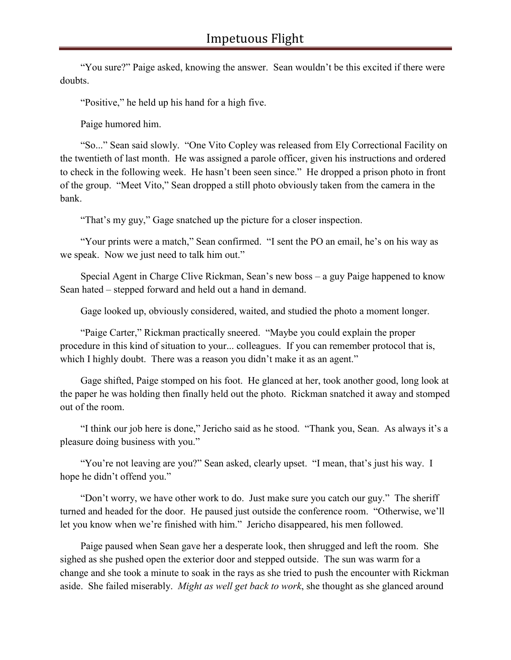"You sure?" Paige asked, knowing the answer. Sean wouldn't be this excited if there were doubts.

"Positive," he held up his hand for a high five.

Paige humored him.

"So..." Sean said slowly. "One Vito Copley was released from Ely Correctional Facility on the twentieth of last month. He was assigned a parole officer, given his instructions and ordered to check in the following week. He hasn't been seen since." He dropped a prison photo in front of the group. "Meet Vito," Sean dropped a still photo obviously taken from the camera in the bank.

"That's my guy," Gage snatched up the picture for a closer inspection.

"Your prints were a match," Sean confirmed. "I sent the PO an email, he's on his way as we speak. Now we just need to talk him out."

Special Agent in Charge Clive Rickman, Sean's new boss – a guy Paige happened to know Sean hated – stepped forward and held out a hand in demand.

Gage looked up, obviously considered, waited, and studied the photo a moment longer.

"Paige Carter," Rickman practically sneered. "Maybe you could explain the proper procedure in this kind of situation to your... colleagues. If you can remember protocol that is, which I highly doubt. There was a reason you didn't make it as an agent."

Gage shifted, Paige stomped on his foot. He glanced at her, took another good, long look at the paper he was holding then finally held out the photo. Rickman snatched it away and stomped out of the room.

"I think our job here is done," Jericho said as he stood. "Thank you, Sean. As always it's a pleasure doing business with you."

"You're not leaving are you?" Sean asked, clearly upset. "I mean, that's just his way. I hope he didn't offend you."

"Don't worry, we have other work to do. Just make sure you catch our guy." The sheriff turned and headed for the door. He paused just outside the conference room. "Otherwise, we'll let you know when we're finished with him." Jericho disappeared, his men followed.

Paige paused when Sean gave her a desperate look, then shrugged and left the room. She sighed as she pushed open the exterior door and stepped outside. The sun was warm for a change and she took a minute to soak in the rays as she tried to push the encounter with Rickman aside. She failed miserably. *Might as well get back to work*, she thought as she glanced around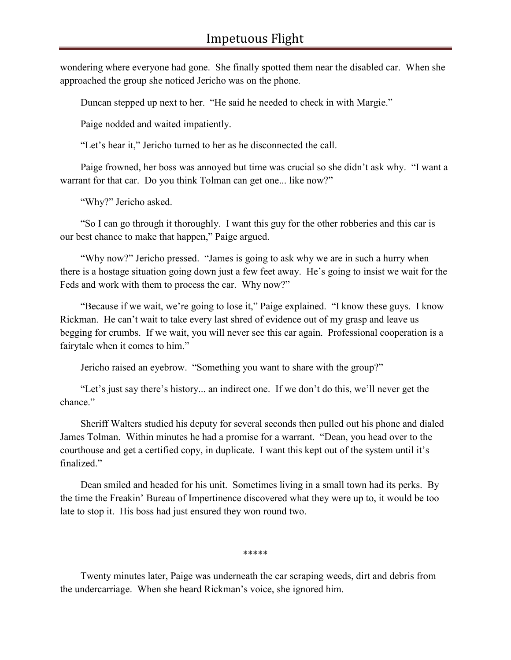wondering where everyone had gone. She finally spotted them near the disabled car. When she approached the group she noticed Jericho was on the phone.

Duncan stepped up next to her. "He said he needed to check in with Margie."

Paige nodded and waited impatiently.

"Let's hear it," Jericho turned to her as he disconnected the call.

Paige frowned, her boss was annoyed but time was crucial so she didn't ask why. "I want a warrant for that car. Do you think Tolman can get one... like now?"

"Why?" Jericho asked.

"So I can go through it thoroughly. I want this guy for the other robberies and this car is our best chance to make that happen," Paige argued.

"Why now?" Jericho pressed. "James is going to ask why we are in such a hurry when there is a hostage situation going down just a few feet away. He's going to insist we wait for the Feds and work with them to process the car. Why now?"

"Because if we wait, we're going to lose it," Paige explained. "I know these guys. I know Rickman. He can't wait to take every last shred of evidence out of my grasp and leave us begging for crumbs. If we wait, you will never see this car again. Professional cooperation is a fairytale when it comes to him."

Jericho raised an eyebrow. "Something you want to share with the group?"

"Let's just say there's history... an indirect one. If we don't do this, we'll never get the chance."

Sheriff Walters studied his deputy for several seconds then pulled out his phone and dialed James Tolman. Within minutes he had a promise for a warrant. "Dean, you head over to the courthouse and get a certified copy, in duplicate. I want this kept out of the system until it's finalized."

Dean smiled and headed for his unit. Sometimes living in a small town had its perks. By the time the Freakin' Bureau of Impertinence discovered what they were up to, it would be too late to stop it. His boss had just ensured they won round two.

\*\*\*\*\*

Twenty minutes later, Paige was underneath the car scraping weeds, dirt and debris from the undercarriage. When she heard Rickman's voice, she ignored him.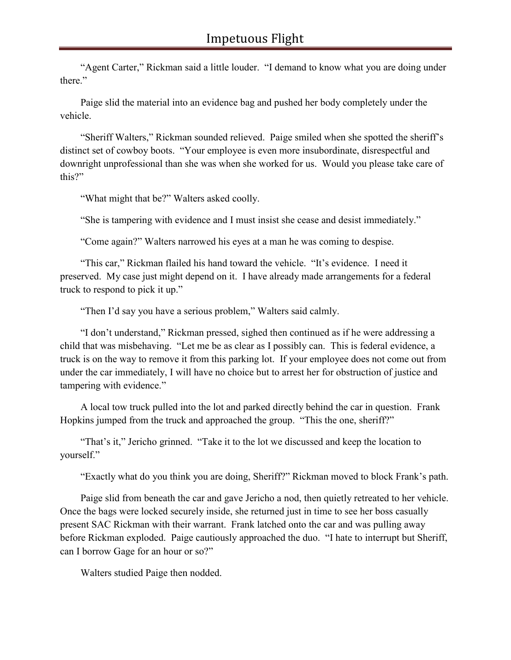"Agent Carter," Rickman said a little louder. "I demand to know what you are doing under there."

Paige slid the material into an evidence bag and pushed her body completely under the vehicle.

"Sheriff Walters," Rickman sounded relieved. Paige smiled when she spotted the sheriff's distinct set of cowboy boots. "Your employee is even more insubordinate, disrespectful and downright unprofessional than she was when she worked for us. Would you please take care of this?"

"What might that be?" Walters asked coolly.

"She is tampering with evidence and I must insist she cease and desist immediately."

"Come again?" Walters narrowed his eyes at a man he was coming to despise.

"This car," Rickman flailed his hand toward the vehicle. "It's evidence. I need it preserved. My case just might depend on it. I have already made arrangements for a federal truck to respond to pick it up."

"Then I'd say you have a serious problem," Walters said calmly.

"I don't understand," Rickman pressed, sighed then continued as if he were addressing a child that was misbehaving. "Let me be as clear as I possibly can. This is federal evidence, a truck is on the way to remove it from this parking lot. If your employee does not come out from under the car immediately, I will have no choice but to arrest her for obstruction of justice and tampering with evidence."

A local tow truck pulled into the lot and parked directly behind the car in question. Frank Hopkins jumped from the truck and approached the group. "This the one, sheriff?"

"That's it," Jericho grinned. "Take it to the lot we discussed and keep the location to yourself."

"Exactly what do you think you are doing, Sheriff?" Rickman moved to block Frank's path.

Paige slid from beneath the car and gave Jericho a nod, then quietly retreated to her vehicle. Once the bags were locked securely inside, she returned just in time to see her boss casually present SAC Rickman with their warrant. Frank latched onto the car and was pulling away before Rickman exploded. Paige cautiously approached the duo. "I hate to interrupt but Sheriff, can I borrow Gage for an hour or so?"

Walters studied Paige then nodded.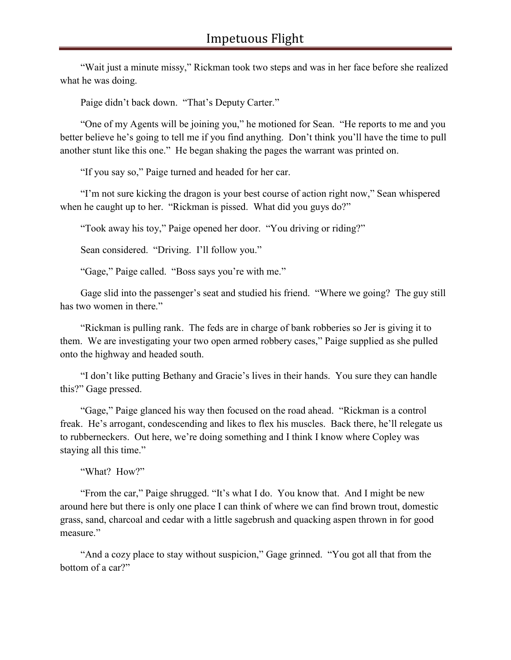"Wait just a minute missy," Rickman took two steps and was in her face before she realized what he was doing.

Paige didn't back down. "That's Deputy Carter."

"One of my Agents will be joining you," he motioned for Sean. "He reports to me and you better believe he's going to tell me if you find anything. Don't think you'll have the time to pull another stunt like this one." He began shaking the pages the warrant was printed on.

"If you say so," Paige turned and headed for her car.

"I'm not sure kicking the dragon is your best course of action right now," Sean whispered when he caught up to her. "Rickman is pissed. What did you guys do?"

"Took away his toy," Paige opened her door. "You driving or riding?"

Sean considered. "Driving. I'll follow you."

"Gage," Paige called. "Boss says you're with me."

Gage slid into the passenger's seat and studied his friend. "Where we going? The guy still has two women in there."

"Rickman is pulling rank. The feds are in charge of bank robberies so Jer is giving it to them. We are investigating your two open armed robbery cases," Paige supplied as she pulled onto the highway and headed south.

"I don't like putting Bethany and Gracie's lives in their hands. You sure they can handle this?" Gage pressed.

"Gage," Paige glanced his way then focused on the road ahead. "Rickman is a control freak. He's arrogant, condescending and likes to flex his muscles. Back there, he'll relegate us to rubberneckers. Out here, we're doing something and I think I know where Copley was staying all this time."

"What? How?"

"From the car," Paige shrugged. "It's what I do. You know that. And I might be new around here but there is only one place I can think of where we can find brown trout, domestic grass, sand, charcoal and cedar with a little sagebrush and quacking aspen thrown in for good measure."

"And a cozy place to stay without suspicion," Gage grinned. "You got all that from the bottom of a car?"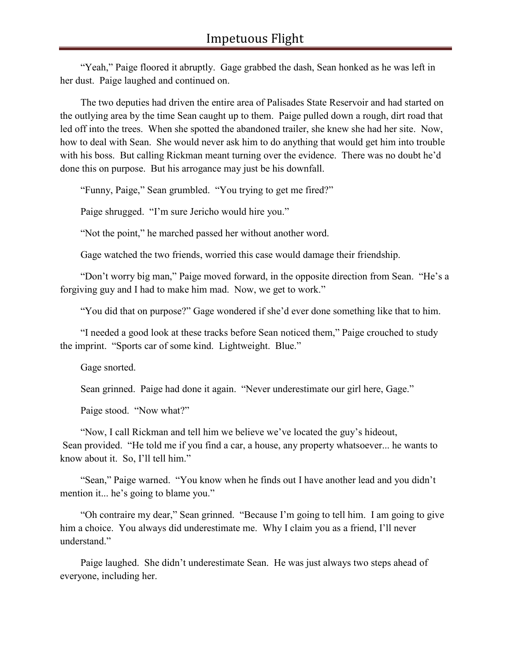"Yeah," Paige floored it abruptly. Gage grabbed the dash, Sean honked as he was left in her dust. Paige laughed and continued on.

The two deputies had driven the entire area of Palisades State Reservoir and had started on the outlying area by the time Sean caught up to them. Paige pulled down a rough, dirt road that led off into the trees. When she spotted the abandoned trailer, she knew she had her site. Now, how to deal with Sean. She would never ask him to do anything that would get him into trouble with his boss. But calling Rickman meant turning over the evidence. There was no doubt he'd done this on purpose. But his arrogance may just be his downfall.

"Funny, Paige," Sean grumbled. "You trying to get me fired?"

Paige shrugged. "I'm sure Jericho would hire you."

"Not the point," he marched passed her without another word.

Gage watched the two friends, worried this case would damage their friendship.

"Don't worry big man," Paige moved forward, in the opposite direction from Sean. "He's a forgiving guy and I had to make him mad. Now, we get to work."

"You did that on purpose?" Gage wondered if she'd ever done something like that to him.

"I needed a good look at these tracks before Sean noticed them," Paige crouched to study the imprint. "Sports car of some kind. Lightweight. Blue."

Gage snorted.

Sean grinned. Paige had done it again. "Never underestimate our girl here, Gage."

Paige stood. "Now what?"

"Now, I call Rickman and tell him we believe we've located the guy's hideout, Sean provided. "He told me if you find a car, a house, any property whatsoever... he wants to know about it. So, I'll tell him."

"Sean," Paige warned. "You know when he finds out I have another lead and you didn't mention it... he's going to blame you."

"Oh contraire my dear," Sean grinned. "Because I'm going to tell him. I am going to give him a choice. You always did underestimate me. Why I claim you as a friend, I'll never understand."

Paige laughed. She didn't underestimate Sean. He was just always two steps ahead of everyone, including her.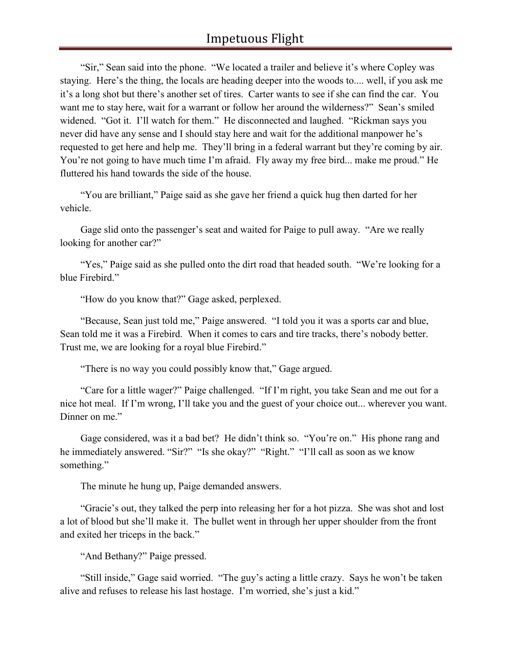"Sir," Sean said into the phone. "We located a trailer and believe it's where Copley was staying. Here's the thing, the locals are heading deeper into the woods to.... well, if you ask me it's a long shot but there's another set of tires. Carter wants to see if she can find the car. You want me to stay here, wait for a warrant or follow her around the wilderness?" Sean's smiled widened. "Got it. I'll watch for them." He disconnected and laughed. "Rickman says you never did have any sense and I should stay here and wait for the additional manpower he's requested to get here and help me. They'll bring in a federal warrant but they're coming by air. You're not going to have much time I'm afraid. Fly away my free bird... make me proud." He fluttered his hand towards the side of the house.

"You are brilliant," Paige said as she gave her friend a quick hug then darted for her vehicle.

Gage slid onto the passenger's seat and waited for Paige to pull away. "Are we really looking for another car?"

"Yes," Paige said as she pulled onto the dirt road that headed south. "We're looking for a blue Firebird."

"How do you know that?" Gage asked, perplexed.

"Because, Sean just told me," Paige answered. "I told you it was a sports car and blue, Sean told me it was a Firebird. When it comes to cars and tire tracks, there's nobody better. Trust me, we are looking for a royal blue Firebird."

"There is no way you could possibly know that," Gage argued.

"Care for a little wager?" Paige challenged. "If I'm right, you take Sean and me out for a nice hot meal. If I'm wrong, I'll take you and the guest of your choice out... wherever you want. Dinner on me."

Gage considered, was it a bad bet? He didn't think so. "You're on." His phone rang and he immediately answered. "Sir?" "Is she okay?" "Right." "I'll call as soon as we know something."

The minute he hung up, Paige demanded answers.

"Gracie's out, they talked the perp into releasing her for a hot pizza. She was shot and lost a lot of blood but she'll make it. The bullet went in through her upper shoulder from the front and exited her triceps in the back."

"And Bethany?" Paige pressed.

"Still inside," Gage said worried. "The guy's acting a little crazy. Says he won't be taken alive and refuses to release his last hostage. I'm worried, she's just a kid."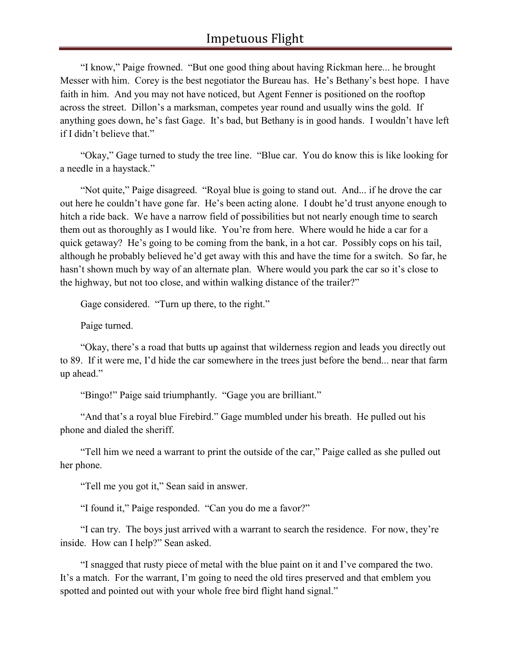"I know," Paige frowned. "But one good thing about having Rickman here... he brought Messer with him. Corey is the best negotiator the Bureau has. He's Bethany's best hope. I have faith in him. And you may not have noticed, but Agent Fenner is positioned on the rooftop across the street. Dillon's a marksman, competes year round and usually wins the gold. If anything goes down, he's fast Gage. It's bad, but Bethany is in good hands. I wouldn't have left if I didn't believe that."

"Okay," Gage turned to study the tree line. "Blue car. You do know this is like looking for a needle in a haystack."

"Not quite," Paige disagreed. "Royal blue is going to stand out. And... if he drove the car out here he couldn't have gone far. He's been acting alone. I doubt he'd trust anyone enough to hitch a ride back. We have a narrow field of possibilities but not nearly enough time to search them out as thoroughly as I would like. You're from here. Where would he hide a car for a quick getaway? He's going to be coming from the bank, in a hot car. Possibly cops on his tail, although he probably believed he'd get away with this and have the time for a switch. So far, he hasn't shown much by way of an alternate plan. Where would you park the car so it's close to the highway, but not too close, and within walking distance of the trailer?"

Gage considered. "Turn up there, to the right."

Paige turned.

"Okay, there's a road that butts up against that wilderness region and leads you directly out to 89. If it were me, I'd hide the car somewhere in the trees just before the bend... near that farm up ahead."

"Bingo!" Paige said triumphantly. "Gage you are brilliant."

"And that's a royal blue Firebird." Gage mumbled under his breath. He pulled out his phone and dialed the sheriff.

"Tell him we need a warrant to print the outside of the car," Paige called as she pulled out her phone.

"Tell me you got it," Sean said in answer.

"I found it," Paige responded. "Can you do me a favor?"

"I can try. The boys just arrived with a warrant to search the residence. For now, they're inside. How can I help?" Sean asked.

"I snagged that rusty piece of metal with the blue paint on it and I've compared the two. It's a match. For the warrant, I'm going to need the old tires preserved and that emblem you spotted and pointed out with your whole free bird flight hand signal."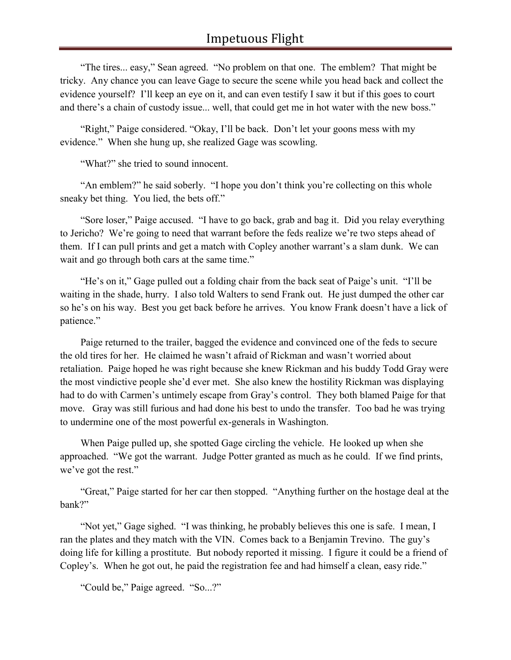"The tires... easy," Sean agreed. "No problem on that one. The emblem? That might be tricky. Any chance you can leave Gage to secure the scene while you head back and collect the evidence yourself? I'll keep an eye on it, and can even testify I saw it but if this goes to court and there's a chain of custody issue... well, that could get me in hot water with the new boss."

"Right," Paige considered. "Okay, I'll be back. Don't let your goons mess with my evidence." When she hung up, she realized Gage was scowling.

"What?" she tried to sound innocent.

"An emblem?" he said soberly. "I hope you don't think you're collecting on this whole sneaky bet thing. You lied, the bets off."

"Sore loser," Paige accused. "I have to go back, grab and bag it. Did you relay everything to Jericho? We're going to need that warrant before the feds realize we're two steps ahead of them. If I can pull prints and get a match with Copley another warrant's a slam dunk. We can wait and go through both cars at the same time."

"He's on it," Gage pulled out a folding chair from the back seat of Paige's unit. "I'll be waiting in the shade, hurry. I also told Walters to send Frank out. He just dumped the other car so he's on his way. Best you get back before he arrives. You know Frank doesn't have a lick of patience."

Paige returned to the trailer, bagged the evidence and convinced one of the feds to secure the old tires for her. He claimed he wasn't afraid of Rickman and wasn't worried about retaliation. Paige hoped he was right because she knew Rickman and his buddy Todd Gray were the most vindictive people she'd ever met. She also knew the hostility Rickman was displaying had to do with Carmen's untimely escape from Gray's control. They both blamed Paige for that move. Gray was still furious and had done his best to undo the transfer. Too bad he was trying to undermine one of the most powerful ex-generals in Washington.

When Paige pulled up, she spotted Gage circling the vehicle. He looked up when she approached. "We got the warrant. Judge Potter granted as much as he could. If we find prints, we've got the rest."

"Great," Paige started for her car then stopped. "Anything further on the hostage deal at the bank?"

"Not yet," Gage sighed. "I was thinking, he probably believes this one is safe. I mean, I ran the plates and they match with the VIN. Comes back to a Benjamin Trevino. The guy's doing life for killing a prostitute. But nobody reported it missing. I figure it could be a friend of Copley's. When he got out, he paid the registration fee and had himself a clean, easy ride."

"Could be," Paige agreed. "So...?"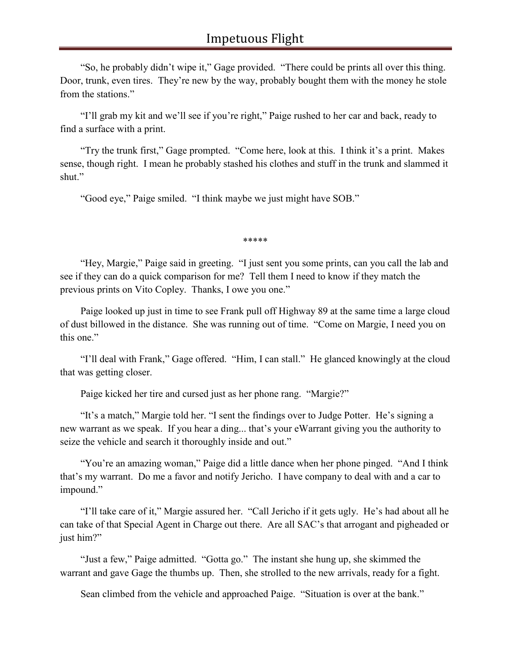"So, he probably didn't wipe it," Gage provided. "There could be prints all over this thing. Door, trunk, even tires. They're new by the way, probably bought them with the money he stole from the stations."

"I'll grab my kit and we'll see if you're right," Paige rushed to her car and back, ready to find a surface with a print.

"Try the trunk first," Gage prompted. "Come here, look at this. I think it's a print. Makes sense, though right. I mean he probably stashed his clothes and stuff in the trunk and slammed it shut."

"Good eye," Paige smiled. "I think maybe we just might have SOB."

\*\*\*\*\*

"Hey, Margie," Paige said in greeting. "I just sent you some prints, can you call the lab and see if they can do a quick comparison for me? Tell them I need to know if they match the previous prints on Vito Copley. Thanks, I owe you one."

Paige looked up just in time to see Frank pull off Highway 89 at the same time a large cloud of dust billowed in the distance. She was running out of time. "Come on Margie, I need you on this one."

"I'll deal with Frank," Gage offered. "Him, I can stall." He glanced knowingly at the cloud that was getting closer.

Paige kicked her tire and cursed just as her phone rang. "Margie?"

"It's a match," Margie told her. "I sent the findings over to Judge Potter. He's signing a new warrant as we speak. If you hear a ding... that's your eWarrant giving you the authority to seize the vehicle and search it thoroughly inside and out."

"You're an amazing woman," Paige did a little dance when her phone pinged. "And I think that's my warrant. Do me a favor and notify Jericho. I have company to deal with and a car to impound."

"I'll take care of it," Margie assured her. "Call Jericho if it gets ugly. He's had about all he can take of that Special Agent in Charge out there. Are all SAC's that arrogant and pigheaded or just him?"

"Just a few," Paige admitted. "Gotta go." The instant she hung up, she skimmed the warrant and gave Gage the thumbs up. Then, she strolled to the new arrivals, ready for a fight.

Sean climbed from the vehicle and approached Paige. "Situation is over at the bank."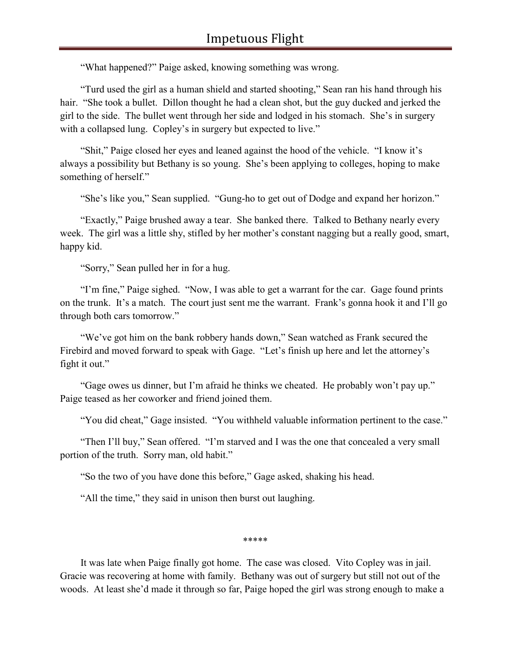"What happened?" Paige asked, knowing something was wrong.

"Turd used the girl as a human shield and started shooting," Sean ran his hand through his hair. "She took a bullet. Dillon thought he had a clean shot, but the guy ducked and jerked the girl to the side. The bullet went through her side and lodged in his stomach. She's in surgery with a collapsed lung. Copley's in surgery but expected to live."

"Shit," Paige closed her eyes and leaned against the hood of the vehicle. "I know it's always a possibility but Bethany is so young. She's been applying to colleges, hoping to make something of herself."

"She's like you," Sean supplied. "Gung-ho to get out of Dodge and expand her horizon."

"Exactly," Paige brushed away a tear. She banked there. Talked to Bethany nearly every week. The girl was a little shy, stifled by her mother's constant nagging but a really good, smart, happy kid.

"Sorry," Sean pulled her in for a hug.

"I'm fine," Paige sighed. "Now, I was able to get a warrant for the car. Gage found prints on the trunk. It's a match. The court just sent me the warrant. Frank's gonna hook it and I'll go through both cars tomorrow."

"We've got him on the bank robbery hands down," Sean watched as Frank secured the Firebird and moved forward to speak with Gage. "Let's finish up here and let the attorney's fight it out."

"Gage owes us dinner, but I'm afraid he thinks we cheated. He probably won't pay up." Paige teased as her coworker and friend joined them.

"You did cheat," Gage insisted. "You withheld valuable information pertinent to the case."

"Then I'll buy," Sean offered. "I'm starved and I was the one that concealed a very small portion of the truth. Sorry man, old habit."

"So the two of you have done this before," Gage asked, shaking his head.

"All the time," they said in unison then burst out laughing.

\*\*\*\*\*

It was late when Paige finally got home. The case was closed. Vito Copley was in jail. Gracie was recovering at home with family. Bethany was out of surgery but still not out of the woods. At least she'd made it through so far, Paige hoped the girl was strong enough to make a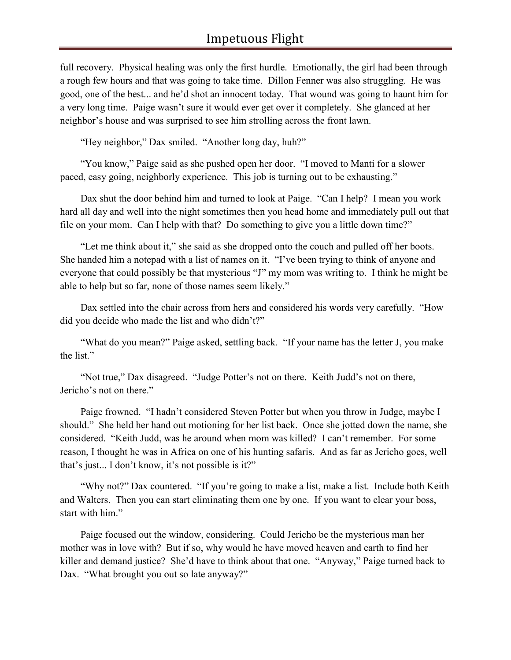full recovery. Physical healing was only the first hurdle. Emotionally, the girl had been through a rough few hours and that was going to take time. Dillon Fenner was also struggling. He was good, one of the best... and he'd shot an innocent today. That wound was going to haunt him for a very long time. Paige wasn't sure it would ever get over it completely. She glanced at her neighbor's house and was surprised to see him strolling across the front lawn.

"Hey neighbor," Dax smiled. "Another long day, huh?"

"You know," Paige said as she pushed open her door. "I moved to Manti for a slower paced, easy going, neighborly experience. This job is turning out to be exhausting."

Dax shut the door behind him and turned to look at Paige. "Can I help? I mean you work hard all day and well into the night sometimes then you head home and immediately pull out that file on your mom. Can I help with that? Do something to give you a little down time?"

"Let me think about it," she said as she dropped onto the couch and pulled off her boots. She handed him a notepad with a list of names on it. "I've been trying to think of anyone and everyone that could possibly be that mysterious "J" my mom was writing to. I think he might be able to help but so far, none of those names seem likely."

Dax settled into the chair across from hers and considered his words very carefully. "How did you decide who made the list and who didn't?"

"What do you mean?" Paige asked, settling back. "If your name has the letter J, you make the list."

"Not true," Dax disagreed. "Judge Potter's not on there. Keith Judd's not on there, Jericho's not on there."

Paige frowned. "I hadn't considered Steven Potter but when you throw in Judge, maybe I should." She held her hand out motioning for her list back. Once she jotted down the name, she considered. "Keith Judd, was he around when mom was killed? I can't remember. For some reason, I thought he was in Africa on one of his hunting safaris. And as far as Jericho goes, well that's just... I don't know, it's not possible is it?"

"Why not?" Dax countered. "If you're going to make a list, make a list. Include both Keith and Walters. Then you can start eliminating them one by one. If you want to clear your boss, start with him."

Paige focused out the window, considering. Could Jericho be the mysterious man her mother was in love with? But if so, why would he have moved heaven and earth to find her killer and demand justice? She'd have to think about that one. "Anyway," Paige turned back to Dax. "What brought you out so late anyway?"